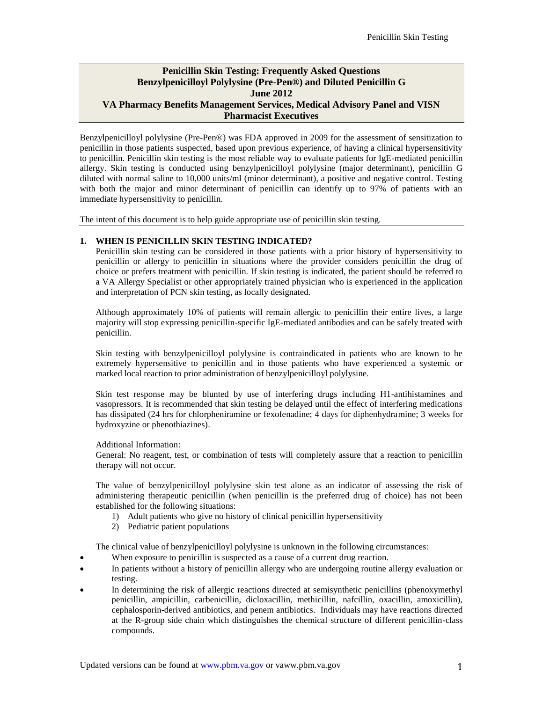## **Penicillin Skin Testing: Frequently Asked Questions Benzylpenicilloyl Polylysine (Pre-Pen®) and Diluted Penicillin G June 2012 VA Pharmacy Benefits Management Services, Medical Advisory Panel and VISN Pharmacist Executives**

Benzylpenicilloyl polylysine (Pre-Pen®) was FDA approved in 2009 for the assessment of sensitization to penicillin in those patients suspected, based upon previous experience, of having a clinical hypersensitivity to penicillin. Penicillin skin testing is the most reliable way to evaluate patients for IgE-mediated penicillin allergy. Skin testing is conducted using benzylpenicilloyl polylysine (major determinant), penicillin G diluted with normal saline to 10,000 units/ml (minor determinant), a positive and negative control. Testing with both the major and minor determinant of penicillin can identify up to 97% of patients with an immediate hypersensitivity to penicillin.

The intent of this document is to help guide appropriate use of penicillin skin testing.

### **1. WHEN IS PENICILLIN SKIN TESTING INDICATED?**

Penicillin skin testing can be considered in those patients with a prior history of hypersensitivity to penicillin or allergy to penicillin in situations where the provider considers penicillin the drug of choice or prefers treatment with penicillin. If skin testing is indicated, the patient should be referred to a VA Allergy Specialist or other appropriately trained physician who is experienced in the application and interpretation of PCN skin testing, as locally designated.

Although approximately 10% of patients will remain allergic to penicillin their entire lives, a large majority will stop expressing penicillin-specific IgE-mediated antibodies and can be safely treated with penicillin.

Skin testing with benzylpenicilloyl polylysine is contraindicated in patients who are known to be extremely hypersensitive to penicillin and in those patients who have experienced a systemic or marked local reaction to prior administration of benzylpenicilloyl polylysine.

Skin test response may be blunted by use of interfering drugs including H1-antihistamines and vasopressors. It is recommended that skin testing be delayed until the effect of interfering medications has dissipated (24 hrs for chlorpheniramine or fexofenadine; 4 days for diphenhydramine; 3 weeks for hydroxyzine or phenothiazines).

#### Additional Information:

General: No reagent, test, or combination of tests will completely assure that a reaction to penicillin therapy will not occur.

The value of benzylpenicilloyl polylysine skin test alone as an indicator of assessing the risk of administering therapeutic penicillin (when penicillin is the preferred drug of choice) has not been established for the following situations:

- 1) Adult patients who give no history of clinical penicillin hypersensitivity
- 2) Pediatric patient populations

The clinical value of benzylpenicilloyl polylysine is unknown in the following circumstances:

- When exposure to penicillin is suspected as a cause of a current drug reaction.
- In patients without a history of penicillin allergy who are undergoing routine allergy evaluation or testing.
- In determining the risk of allergic reactions directed at semisynthetic penicillins (phenoxymethyl penicillin, ampicillin, carbenicillin, dicloxacillin, methicillin, nafcillin, oxacillin, amoxicillin), cephalosporin-derived antibiotics, and penem antibiotics. Individuals may have reactions directed at the R-group side chain which distinguishes the chemical structure of different penicillin-class compounds.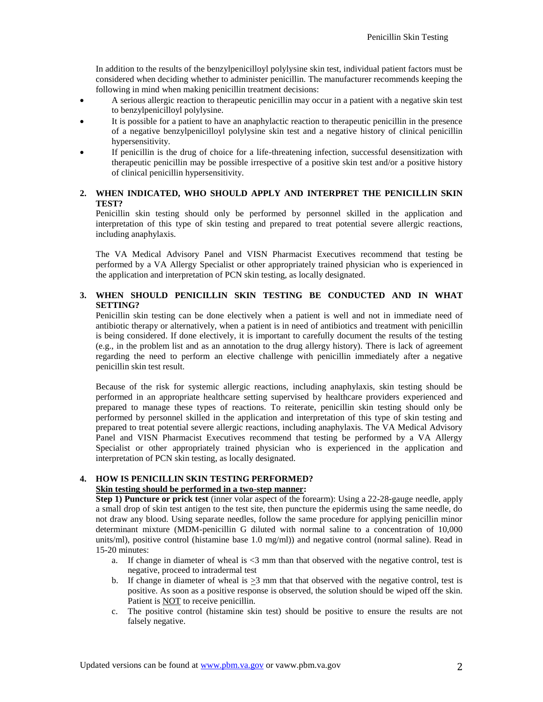In addition to the results of the benzylpenicilloyl polylysine skin test, individual patient factors must be considered when deciding whether to administer penicillin. The manufacturer recommends keeping the following in mind when making penicillin treatment decisions:

- A serious allergic reaction to therapeutic penicillin may occur in a patient with a negative skin test to benzylpenicilloyl polylysine.
- It is possible for a patient to have an anaphylactic reaction to therapeutic penicillin in the presence of a negative benzylpenicilloyl polylysine skin test and a negative history of clinical penicillin hypersensitivity.
- If penicillin is the drug of choice for a life-threatening infection, successful desensitization with therapeutic penicillin may be possible irrespective of a positive skin test and/or a positive history of clinical penicillin hypersensitivity.

## **2. WHEN INDICATED, WHO SHOULD APPLY AND INTERPRET THE PENICILLIN SKIN TEST?**

Penicillin skin testing should only be performed by personnel skilled in the application and interpretation of this type of skin testing and prepared to treat potential severe allergic reactions, including anaphylaxis.

The VA Medical Advisory Panel and VISN Pharmacist Executives recommend that testing be performed by a VA Allergy Specialist or other appropriately trained physician who is experienced in the application and interpretation of PCN skin testing, as locally designated.

## **3. WHEN SHOULD PENICILLIN SKIN TESTING BE CONDUCTED AND IN WHAT SETTING?**

Penicillin skin testing can be done electively when a patient is well and not in immediate need of antibiotic therapy or alternatively, when a patient is in need of antibiotics and treatment with penicillin is being considered. If done electively, it is important to carefully document the results of the testing (e.g., in the problem list and as an annotation to the drug allergy history). There is lack of agreement regarding the need to perform an elective challenge with penicillin immediately after a negative penicillin skin test result.

Because of the risk for systemic allergic reactions, including anaphylaxis, skin testing should be performed in an appropriate healthcare setting supervised by healthcare providers experienced and prepared to manage these types of reactions. To reiterate, penicillin skin testing should only be performed by personnel skilled in the application and interpretation of this type of skin testing and prepared to treat potential severe allergic reactions, including anaphylaxis. The VA Medical Advisory Panel and VISN Pharmacist Executives recommend that testing be performed by a VA Allergy Specialist or other appropriately trained physician who is experienced in the application and interpretation of PCN skin testing, as locally designated.

# **4. HOW IS PENICILLIN SKIN TESTING PERFORMED?**

# **Skin testing should be performed in a two-step manner:**

**Step 1) Puncture or prick test** (inner volar aspect of the forearm): Using a 22-28-gauge needle, apply a small drop of skin test antigen to the test site, then puncture the epidermis using the same needle, do not draw any blood. Using separate needles, follow the same procedure for applying penicillin minor determinant mixture (MDM-penicillin G diluted with normal saline to a concentration of 10,000 units/ml), positive control (histamine base 1.0 mg/ml)) and negative control (normal saline). Read in 15-20 minutes:

- a. If change in diameter of wheal is <3 mm than that observed with the negative control, test is negative, proceed to intradermal test
- b. If change in diameter of wheal is  $>3$  mm that that observed with the negative control, test is positive. As soon as a positive response is observed, the solution should be wiped off the skin. Patient is NOT to receive penicillin.
- c. The positive control (histamine skin test) should be positive to ensure the results are not falsely negative.